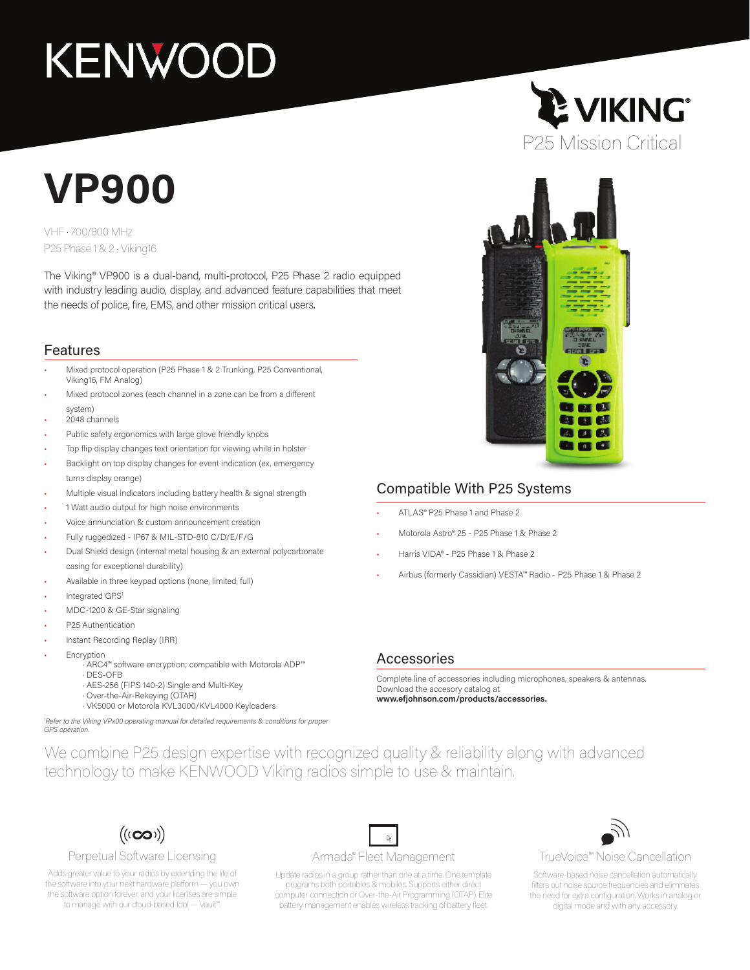# **KENWOOD**

## **VP900**

VHF • 700/800 MHz P25 Phase 1 & 2 • Viking16

The Viking® VP900 is a dual-band, multi-protocol, P25 Phase 2 radio equipped with industry leading audio, display, and advanced feature capabilities that meet the needs of police, fire, EMS, and other mission critical users.

#### Features

- Mixed protocol operation (P25 Phase 1 & 2 Trunking, P25 Conventional, Viking16, FM Analog)
- Mixed protocol zones (each channel in a zone can be from a different system)
- 2048 channels
- Public safety ergonomics with large glove friendly knobs
- Top flip display changes text orientation for viewing while in holster
- Backlight on top display changes for event indication (ex. emergency turns display orange)
- Multiple visual indicators including battery health & signal strength
- 1 Watt audio output for high noise environments
- Voice annunciation & custom announcement creation
- Fully ruggedized IP67 & MIL-STD-810 C/D/E/F/G
- Dual Shield design (internal metal housing & an external polycarbonate casing for exceptional durability)
- Available in three keypad options (none, limited, full)
- Integrated GPS<sup>1</sup>
- MDC-1200 & GE-Star signaling
- P25 Authentication
- Instant Recording Replay (IRR)
- **Encryption** 
	- · ARC4™ software encryption; compatible with Motorola ADP™
	- · DES-OFB
	- · AES-256 (FIPS 140-2) Single and Multi-Key
	- · Over-the-Air-Rekeying (OTAR) · VK5000 or Motorola KVL3000/KVL4000 Keyloaders

*1 Refer to the Viking VPx00 operating manual for detailed requirements & conditions for proper GPS operation.*

## **E VIKING** P25 Mission Critical



#### Compatible With P25 Systems

- ATLAS® P25 Phase 1 and Phase 2
- Motorola Astro® 25 P25 Phase 1 & Phase 2
- Harris VIDA® P25 Phase 1 & Phase 2
- Airbus (formerly Cassidian) VESTA™ Radio P25 Phase 1 & Phase 2

#### Accessories

Complete line of accessories including microphones, speakers & antennas. Download the accesory catalog at **www.efjohnson.com/products/accessories.**

We combine P25 design expertise with recognized quality & reliability along with advanced technology to make KENWOOD Viking radios simple to use & maintain.



#### Perpetual Software Licensing

Adds greater value to your radios by extending the life of the software into your next hardware platform — you own the software option forever, and your licenses are simple to manage with our cloud-based tool — Vault™.

#### Armada® Fleet Management

 $\mathbb{R}^-$ 

Update radios in a group rather than one at a time. One template programs both portables & mobiles. Supports either direct computer connection or Over-the-Air Programming (OTAP). Elite battery management enables wireless tracking of battery fleet.



TrueVoice™ Noise Cancellation

Software-based noise cancellation automatically filters out noise source frequencies and eliminates the need for extra configuration. Works in analog or digital mode and with any accessory.